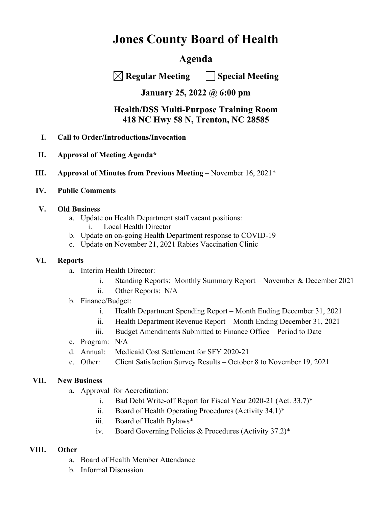# **Jones County Board of Health**

## **Agenda**

 **Regular Meeting Special Meeting** 

### **January 25, 2022 @ 6:00 pm**

### **Health/DSS Multi-Purpose Training Room 418 NC Hwy 58 N, Trenton, NC 28585**

- **I. Call to Order/Introductions/Invocation**
- **II. Approval of Meeting Agenda\***
- **III. Approval of Minutes from Previous Meeting** November 16, 2021\*
- **IV. Public Comments**

#### **V. Old Business**

- a. Update on Health Department staff vacant positions:
	- i. Local Health Director
- b. Update on on-going Health Department response to COVID-19
- c. Update on November 21, 2021 Rabies Vaccination Clinic

#### **VI. Reports**

- a. Interim Health Director:
	- i. Standing Reports: Monthly Summary Report November & December 2021
	- ii. Other Reports: N/A
- b. Finance/Budget:
	- i. Health Department Spending Report Month Ending December 31, 2021
	- ii. Health Department Revenue Report Month Ending December 31, 2021
	- iii. Budget Amendments Submitted to Finance Office Period to Date
- c. Program: N/A
- d. Annual: Medicaid Cost Settlement for SFY 2020-21
- e. Other: Client Satisfaction Survey Results October 8 to November 19, 2021

#### **VII. New Business**

- a. Approval for Accreditation:
	- i. Bad Debt Write-off Report for Fiscal Year 2020-21 (Act. 33.7)\*
	- ii. Board of Health Operating Procedures (Activity 34.1)\*
	- iii. Board of Health Bylaws\*
	- iv. Board Governing Policies & Procedures (Activity 37.2)\*

#### **VIII. Other**

- a. Board of Health Member Attendance
- b. Informal Discussion